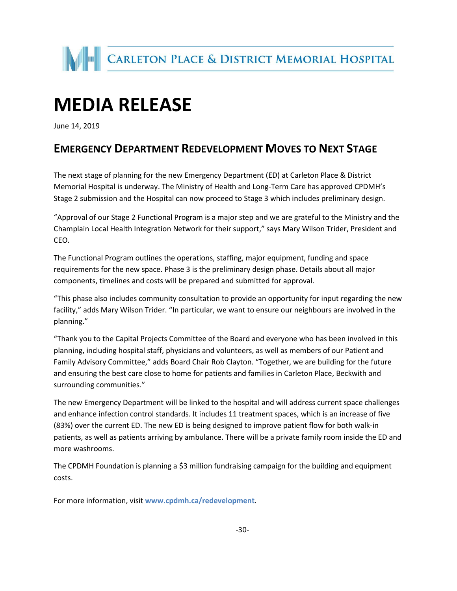

## **MEDIA RELEASE**

June 14, 2019

## **EMERGENCY DEPARTMENT REDEVELOPMENT MOVES TO NEXT STAGE**

The next stage of planning for the new Emergency Department (ED) at Carleton Place & District Memorial Hospital is underway. The Ministry of Health and Long-Term Care has approved CPDMH's Stage 2 submission and the Hospital can now proceed to Stage 3 which includes preliminary design.

"Approval of our Stage 2 Functional Program is a major step and we are grateful to the Ministry and the Champlain Local Health Integration Network for their support," says Mary Wilson Trider, President and CEO.

The Functional Program outlines the operations, staffing, major equipment, funding and space requirements for the new space. Phase 3 is the preliminary design phase. Details about all major components, timelines and costs will be prepared and submitted for approval.

"This phase also includes community consultation to provide an opportunity for input regarding the new facility," adds Mary Wilson Trider. "In particular, we want to ensure our neighbours are involved in the planning."

"Thank you to the Capital Projects Committee of the Board and everyone who has been involved in this planning, including hospital staff, physicians and volunteers, as well as members of our Patient and Family Advisory Committee," adds Board Chair Rob Clayton. "Together, we are building for the future and ensuring the best care close to home for patients and families in Carleton Place, Beckwith and surrounding communities."

The new Emergency Department will be linked to the hospital and will address current space challenges and enhance infection control standards. It includes 11 treatment spaces, which is an increase of five (83%) over the current ED. The new ED is being designed to improve patient flow for both walk-in patients, as well as patients arriving by ambulance. There will be a private family room inside the ED and more washrooms.

The CPDMH Foundation is planning a \$3 million fundraising campaign for the building and equipment costs.

For more information, visit **www.cpdmh.ca/redevelopment**.